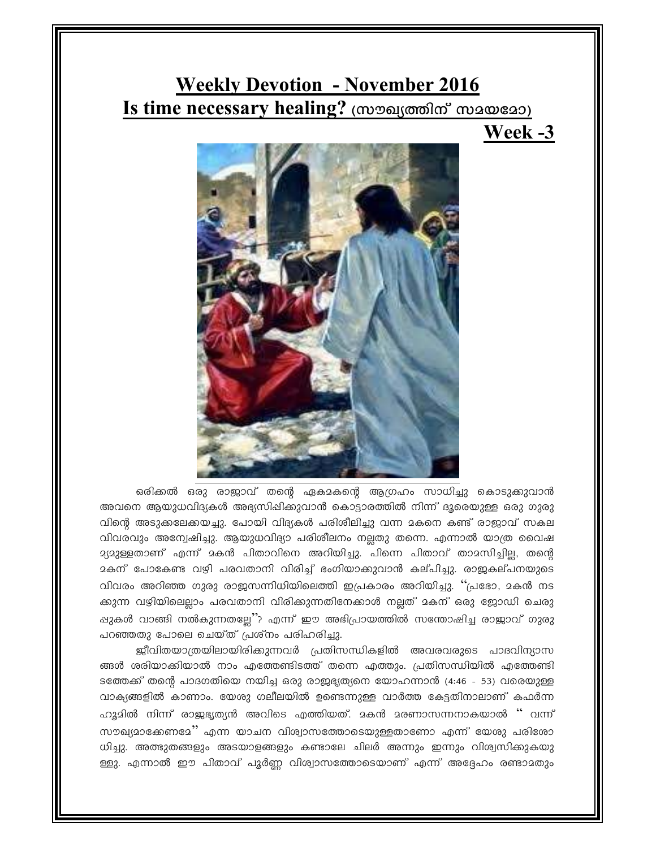## **Weekly Devotion - November 2016** Is time necessary healing? (സൗഖ്യത്തിന് സമയമോ)





ഒരിക്കൽ ഒരു രാജാവ് തന്റെ ഏകമകന്റെ ആഗ്രഹം സാധിച്ചു കൊടുക്കുവാൻ അവനെ ആയുധവിദ്യകൾ അഭ്യസിഷിക്കുവാൻ കൊട്ടാരത്തിൽ നിന്ന് ദൂരെയുള്ള ഒരു ഗുരു ിന്റെ അടുകലേകയച്ചു. പോയി വിദ്യകൾ പരിശീലിച്ചു വന്ന മകനെ കണ്ട് രാജാവ് സകല വിവരവും അന്വേഷിച്ചു. ആയുധവിദ്യാ പരിശീലനം നല്ലതു തന്നെ. എന്നാൽ യാത്ര വൈഷ a്യമുള്ളതാണ് എന്ന് മകൻ പിതാവിനെ അറിയിച്ചു. പിന്നെ പിതാവ് താമസിച്ചില്ല, തന്റെ  $\overline{a}$ കന് പോകേണ്ട വഴി പരവതാനി വിരിച്ച് ഭംഗിയാക്കുവാൻ കല്പിച്ചു. രാജകല്പനയുടെ വിവരം അറിഞ്ഞ ഗുരു രാജസന്നിധിയിലെത്തി ഇപ്രകാരം അറിയിച്ചു. "പ്രഭോ, മകൻ നട ക്കുന്ന വഴിയിലെല്ലാം പരവതാനി വിരിക്കുന്നതിനേക്കാൾ നല്ലത് മകന് ഒരു ജോഡി ചെരു ഷുകൾ വാങ്ങി നൽകുന്നതല്ലേ''? എന്ന് ഈ അഭിപ്രായത്തിൽ സന്തോഷിച്ച രാജാവ് ഗുരു പറഞ്ഞതു പോലെ ചെയ്ത് പ്രശ്നം പരിഹരിച്ചു.

ജീവിതയാത്രയിലായിരിക്കുന്നവർ പ്രതിസന്ധികളിൽ അവരവരുടെ പാദവിന്യാസ ങ്ങൾ ശരിയാക്കിയാൽ നാം എത്തേണ്ടിടത്ത് തന്നെ എത്തും. പ്രതിസന്ധിയിൽ എത്തേണ്ടി ടത്തേക്ക് തന്റെ പാദഗതിയെ നയിച്ച ഒരു രാജ്ജ്യത്യനെ യോഹന്നാൻ (4:46 - 53) വരെയുള്ള വാക്യങ്ങളിൽ കാണാം. യേശു ഗലീലയിൽ ഉണ്ടെന്നുള്ള വാർത്ത കേട്ടതിനാലാണ് കഫർന്ന .ഹൂദിൽ നിന്ന് രാജ്യഭ്യത്യൻ അവിടെ എത്തിയത്. മകൻ മരണാസന്നനാകയാൽ '' വന്ന് സൗഖ്യമാക്കേണമേ'' എന്ന യാചന വിശ്വാസത്തോടെയുള്ളതാണോ എന്ന് യേശു പരിശോ ്ധിച്ചു. അത്ഭുതങ്ങളും അടയാളങ്ങളും കണ്ടാലേ ചിലർ അന്നും ഇന്നും വിര്വസിക്കുകയു ള്ളു. എന്നാൽ ഈ പിതാവ് പൂർണ്ണ വിശ്വാസത്തോടെയാണ് എന്ന് അദ്ദേഹം രണ്ടാമതും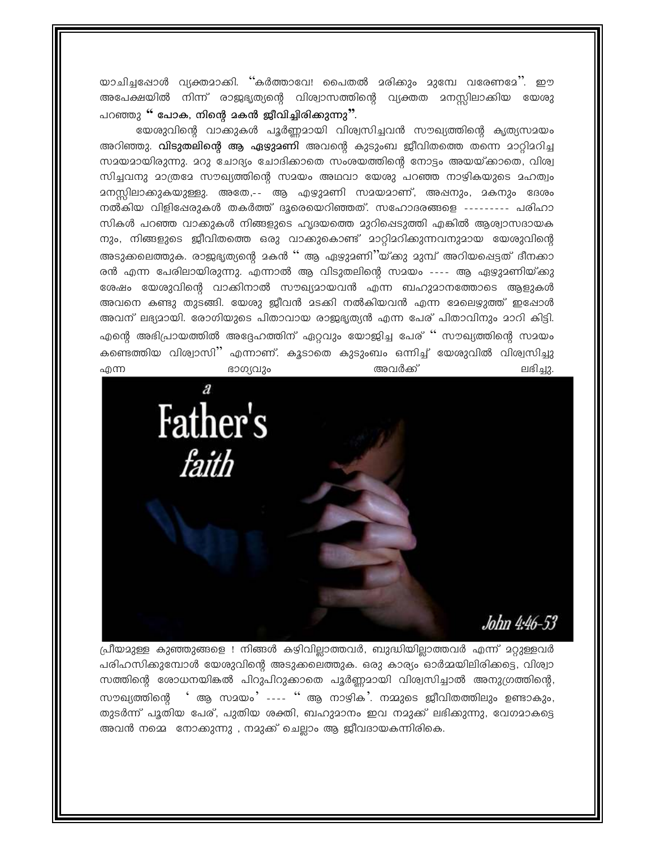യാചിച്ചപ്പോൾ വ്യക്തമാക്കി. ''കർത്താവേ! പൈതൽ മരിക്കും മുമ്പേ വരേണമേ''. ഈ അപേക്ഷയിൽ നിന്ന് രാജഭൃത്യന്റെ വിശ്വാസത്തിന്റെ വ്യക്തത മനസ്സിലാക്കിയ യേശു പറഞ്ഞു " പോക, നിന്റെ മകൻ ജീവിച്ചിരിക്കുന്നു<sup>?</sup>'.

യേശുവിന്റെ വാക്കുകൾ പൂർണ്ണമായി വിശ്വസിച്ചവൻ സൗഖ്യത്തിന്റെ കൃത്യസമയം അറിഞ്ഞു. **വിടുതലിന്റെ ആ ഏഴുമണി** അവന്റെ കുടുംബ ജീവിതത്തെ തന്നെ മാറ്റിമറിച്ച സ്ഥയമായിരുന്നു. മറു ചോദ്യം ചോദിക്കാതെ സംശയത്തിന്റെ നോട്ടം അയയ്ക്കാതെ, വിശ്വ സിച്ചവനു മാത്രമേ സൗഖ്യത്തിന്റെ സമയം അഥവാ യേശു പറഞ്ഞ നാഴികയുടെ മഹത്വം <u> ദനസ്സിലാക്കുകയുള്ളു. അതേ,-- ആ എഴുദണി സദയമാണ്, അഷനും, ദകനും ദേശം</u> നൽകിയ വിളിഷേരുകൾ തകർത്ത് ദൂരെയെറിഞ്ഞത്. സഹോദരങ്ങളെ --------- പരിഹാ സികൾ പറഞ്ഞ വാക്കുകൾ നിങ്ങളുടെ ഹൃദയത്തെ മുറിപ്പെടുത്തി എങ്കിൽ ആശ്വാസദായക നും, നിങ്ങളുടെ ജീവിതത്തെ ഒരു വാക്കുകൊണ്ട് മാറ്റിമറിക്കുന്നവനുമായ യേശുവിന്റെ അടുക്കലെത്തുക. രാജ്ജ്യത്യന്റെ മകൻ '' ആ ഏഴ്യമണി''യ്ക്കു മുമ്പ് അറിയപ്പെട്ടത് ദീനക്കാ രൻ എന്ന പേരിലായിരുന്നു. എന്നാൽ ആ വിടുതലിന്റെ സമയം ---- ആ ഏഴുദണിയ്ക്കു ഭശഷം യേശുവിന്റെ വാക്കിനാൽ സൗഖ്യമായവൻ എന്ന ബഹുമാനത്തോടെ ആളുകൾ അവനെ കണ്ടു തുടങ്ങി. യേശു ജീവൻ മടക്കി നൽകിയവൻ എന്ന മേലെഴുത്ത് ഇഷോൾ അവന് ലഭ്യമായി. രോഗിയുടെ പിതാവായ രാജഭൃത്യൻ എന്ന പേര് പിതാവിനും മാറി കിട്ടി. എന്റെ അഭിപ്രായത്തിൽ അദ്ദേഹത്തിന് ഏറ്റവും യോജിച്ച പേര് '' സൗഖ്യത്തിന്റെ സമയം കണ്ടെത്തിയ വിശ്വാസി'' എന്നാണ്. കൂടാതെ കുടുംബം ഒന്നിച്ച് യേശുവിൽ വിശ്വസിച്ചു അവർക്ക് എന്ന ഭാഗ്യവും ലഭിച്ചു.



പ്രീയമുള്ള കുഞ്ഞുങ്ങളെ ! നിങ്ങൾ കഴിവില്ലാത്തവർ, ബുദ്ധിയില്ലാത്തവർ എന്ന് മറ്റുള്ളവർ പരിഹസിക്കുമ്പോൾ യേശുവിന്റെ അടുക്കലെത്തുക. ഒരു കാര്യം ഓർമ്മയിലിരിക്കട്ടെ, വിശ്വാ സത്തിന്റെ രോധനയികൽ പിറുപിറുക്കാതെ പൂർണ്ണമായി വിശ്വസിച്ചാൽ അനുഗ്രത്തിന്റെ, ' ആ സമയം' ---- '' ആ നാഴിക'. നമ്മുടെ ജീവിതത്തിലും ഉണ്ടാകും. സൗഖത്തിന്റെ തുടർന്ന് പൂതിയ പേര്, പുതിയ ശക്തി, ബഹുമാനം ഇവ നമുക്ക് ലഭിക്കുന്നു, വേഗമാകട്ടെ അവൻ നമ്മെ നോക്കുന്നു , നമുക്ക് ചെല്ലാം ആ ജീവദായകന്നിരികെ.